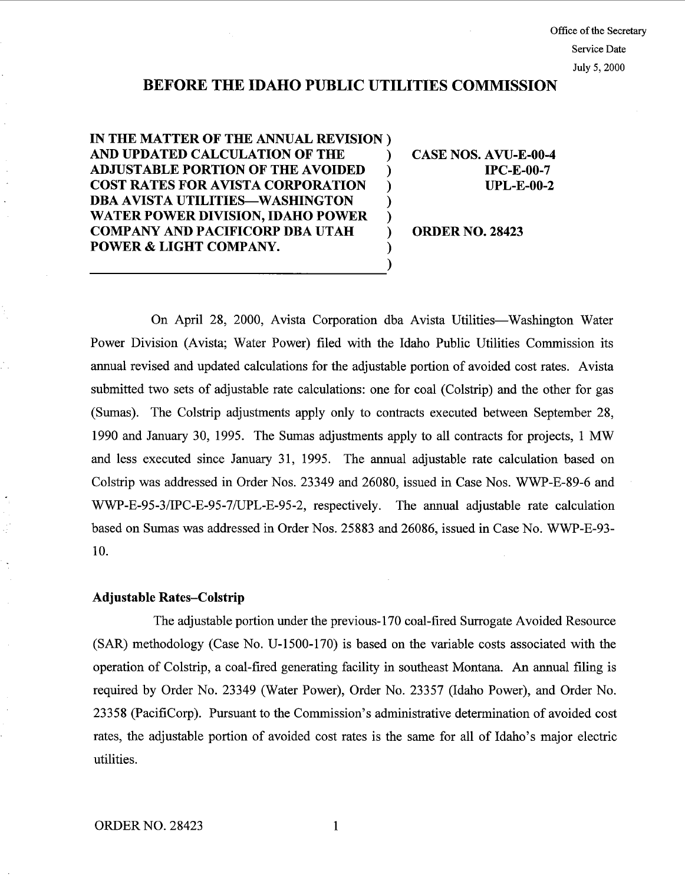Office of the Secretary Service Date July 5, 2000

## BEFORE THE IDAHO PUBLIC UTILITIES COMMISSION

λ ℩

Í

IN THE MATTER OF THE ANNUAL REVISION) AND UPDATED CALCULATION OF THE ADJUSTABLE PORTION OF THE AVOIDED **COST RATES FOR AVISTA CORPORATION** DBA AVISTA UTILITIES-WASHINGTON WATER POWER DIVISION, IDAHO POWER COMPANY AND PACIFICORP DBA UTAH POWER & LIGHT COMPANY.

CASE NOS. AVU-E-00-4  $IPC$ - $E$ -00-7  $UPL-E-00-2$ 

ORDER NO. 28423

On April 28, 2000, Avista Corporation dba Avista Utilities-Washington Water Power Division (Avista; Water Power) filed with the Idaho Public Utilities Commission its annual revised and updated calculations for the adjustable portion of avoided cost rates. Avista submitted two sets of adjustable rate calculations: one for coal (Colstrip) and the other for gas (Sumas). The Colstrip adjustments apply only to contracts executed between September 28 1990 and January 30, 1995. The Sumas adjustments apply to all contracts for projects, 1 MW and less executed since January 31, 1995. The annual adjustable rate calculation based on Colstrip was addressed in Order Nos. 23349 and 26080, issued in Case Nos. WWP-E-89-6 and WWP-E-95-3/IPC-E-95-7/UPL-E-95-2, respectively. The annual adjustable rate calculation based on Sumas was addressed in Order Nos. 25883 and 26086, issued in Case No. WWP-E-93-10.

#### Adjustable Rates-Colstrip

The adjustable portion under the previous- 170 coal-fired Surrogate Avoided Resource  $(SAR)$  methodology (Case No. U-1500-170) is based on the variable costs associated with the operation of Colstrip, a coal-fired generating facility in southeast Montana. An annual filing is required by Order No. 23349 (Water Power), Order No. 23357 (Idaho Power), and Order No. 23358 (PacifiCorp). Pursuant to the Commission's administrative determination of avoided cost rates, the adjustable portion of avoided cost rates is the same for all of Idaho's major electric utilities.

 $\mathbf{1}$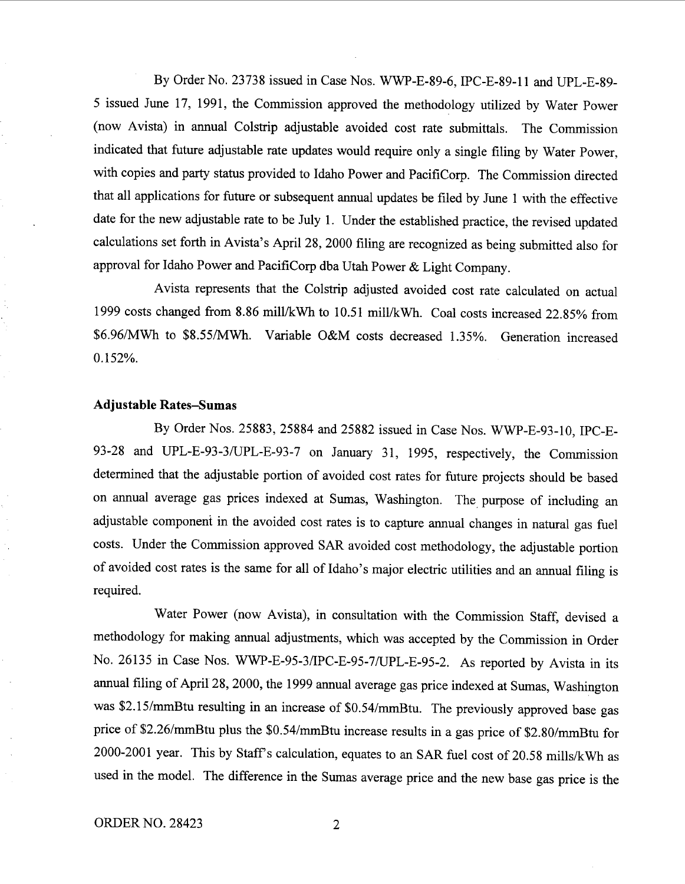By Order No. 23738 issued in Case Nos. WWP-E-89-6, IPC-E-89-11 and UPL-E-89-5 issued June 17, 1991, the Commission approved the methodology utilized by Water Power (now Avista) in annual Colstrip adjustable avoided cost rate submittals. The Commission indicated that future adjustable rate updates would require only a single filing by Water Power with copies and party status provided to Idaho Power and PacifiCorp. The Commission directed that all applications for future or subsequent annual updates be filed by June 1 with the effective date for the new adjustable rate to be July 1. Under the established practice, the revised updated calculations set forth in Avista's April 28, 2000 filing are recognized as being submitted also for approval for Idaho Power and PacifiCorp dba Utah Power & Light Company.

Avista represents that the Colstrip adjusted avoided cost rate calculated on actual 1999 costs changed from 8.86 mill/kWh to 10.51 mill/kWh. Coal costs increased 22.85% from \$6.96/MWh to \$8.55/MWh. Variable O&M costs decreased 1.35%. Generation increased 0.152%.

#### Adjustable Rates-Sumas

By Order Nos. 25883, 25884 and 25882 issued in Case Nos. WWP-E-93-10, IPC-E-93-28 and UPL-E-93-3/UPL-E-93-7 on January 31, 1995, respectively, the Commission determined that the adjustable portion of avoided cost rates for future projects should be based on annual average gas prices indexed at Sumas, Washington. The purpose of including an adjustable component in the avoided cost rates is to capture annual changes in natural gas fuel costs. Under the Commission approved SAR avoided cost methodology, the adjustable portion of avoided cost rates is the same for all of Idaho's major electric utilities and an annual filing is required.

Water Power (now Avista), in consultation with the Commission Staff, devised a methodology for making annual adjustments, which was accepted by the Commission in Order No. 26135 in Case Nos. WWP-E-95-3/IPC-E-95-7/UPL-E-95-2. As reported by Avista in its annual filing of April 28, 2000, the 1999 annual average gas price indexed at Sumas, Washington was \$2. 15/mmBtu resulting in an increase of \$0.54/mmBtu. The previously approved base gas price of \$2. 26/mmBtu plus the \$0.54/mmBtu increase results in a gas price of \$2.80/mmBtu for 2000-2001 year. This by Staff's calculation, equates to an SAR fuel cost of 20.58 mills/kWh as used in the model. The difference in the Sumas average price and the new base gas price is the

 $\overline{2}$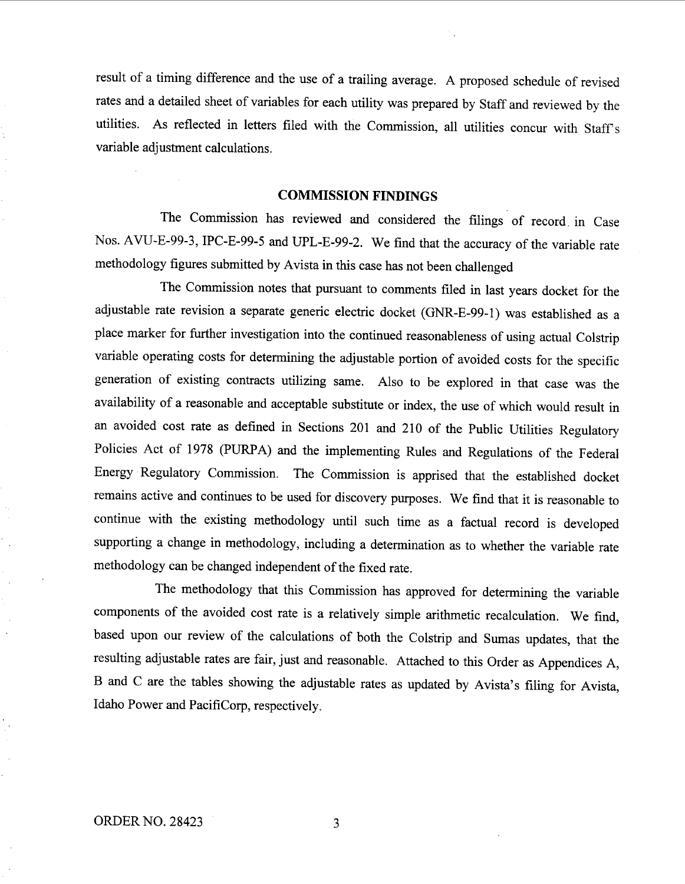result of a timing difference and the use of a trailing average. A proposed schedule of revised rates and a detailed sheet of variables for each utility was prepared by Staff and reviewed by the utilities. As reflected in letters filed with the Commission, all utilities concur with Staff s variable adjustment calculations.

## COMMISSION FINDINGS

The Commission has reviewed and considered the filings of record in Case Nos. AVU-E-99-3, IPC-E-99-5 and UPL-E-99-2. We find that the accuracy of the variable rate methodology figures submitted by Avista in this case has not been challenged

The Commission notes that pursuant to comments filed in last years docket for the adjustable rate revision a separate generic electric docket (GNR-E-99-1) was established as a place marker for further investigation into the continued reasonableness of using actual Colstrip variable operating costs for determining the adjustable portion of avoided costs for the specific generation of existing contracts utilizing same. Also to be explored in that case was the availability of a reasonable and acceptable substitute or index, the use of which would result in an avoided cost rate as defined in Sections 201 and 210 of the Public Utilities Regulatory Policies Act of 1978 (PURPA) and the implementing Rules and Regulations of the Federal Energy Regulatory Commission. The Commission is apprised that the established docket remains active and continues to be used for discovery purposes. We find that it is reasonable to continue with the existing methodology until such time as a factual record is developed supporting a change in methodology, including a determination as to whether the variable rate methodology can be changed independent of the fixed rate.

The methodology that this Commission has approved for determining the variable components of the avoided cost rate is a relatively simple arithmetic recalculation. We find based upon our review of the calculations of both the Colstrip and Sumas updates, that the resulting adjustable rates are fair, just and reasonable. Attached to this Order as Appendices A B and C are the tables showing the adjustable rates as updated by Avista's filing for Avista, Idaho Power and PacifiCorp, respectively.

3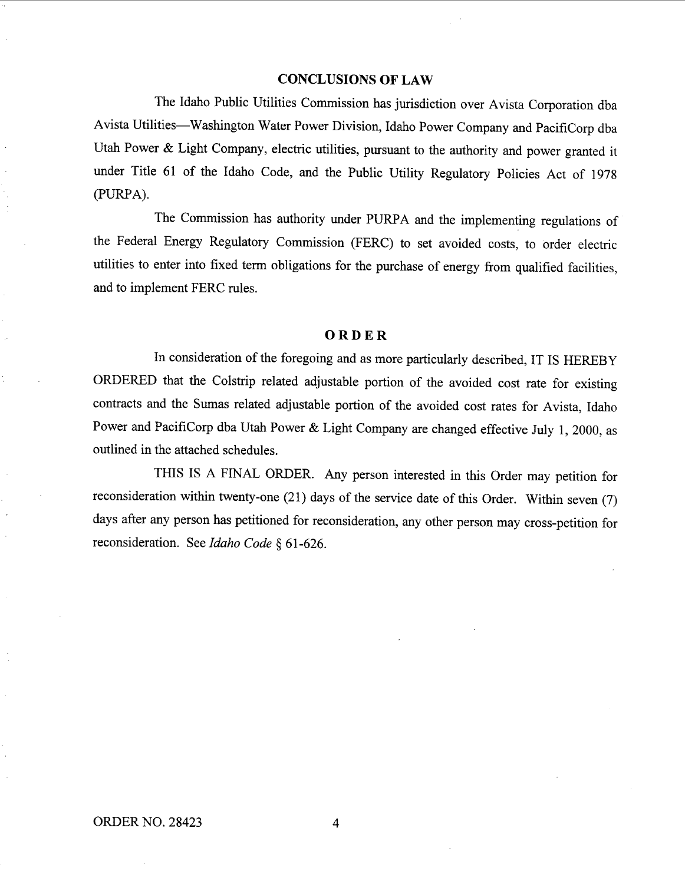## CONCLUSIONS OF LAW

The Idaho Public Utilities Commission has jurisdiction over A vista Corporation dba Avista Utilities-Washington Water Power Division, Idaho Power Company and PacifiCorp dba Utah Power & Light Company, electric utilities, pursuant to the authority and power granted it under Title 61 of the Idaho Code, and the Public Utility Regulatory Policies Act of <sup>1978</sup> (PURPA).

The Commission has authority under PURPA and the implementing regulations of the Federal Energy Regulatory Commission (FERC) to set avoided costs, to order electric utilities to enter into fixed term obligations for the purchase of energy from qualified facilities and to implement FERC rules.

### ORDER

In consideration of the foregoing and as more particularly described, IT IS HEREBY ORDERED that the Colstrip related adjustable portion of the avoided cost rate for existing contracts and the Sumas related adjustable portion of the avoided cost rates for Avista, Idaho Power and PacifiCorp dba Utah Power & Light Company are changed effective July 1, 2000, as outlined in the attached schedules.

THIS IS A FINAL ORDER. Any person interested in this Order may petition for reconsideration within twenty-one (21) days of the service date of this Order. Within seven (7) days after any person has petitioned for reconsideration, any other person may cross-petition for reconsideration. See Idaho Code § 61-626.

 $\overline{4}$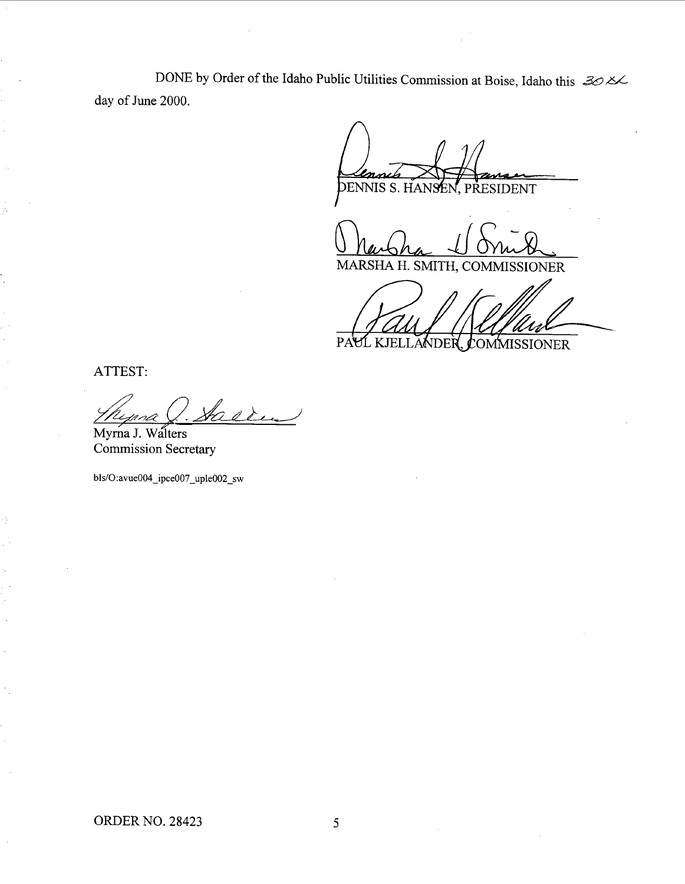DONE by Order of the Idaho Public Utilities Commission at Boise, Idaho this  $30 \times$ day of June 2000.

 $~\tilde{}$ Marsha 1 SMITH, COMMISSIONER

**COMMISSIONER** PA MDER

ATTEST:

<u>/hypna</u> Sassu

Myrna J. Walters Commission Secretary

bls/O:avue004\_ipce007\_uple002\_sw

ORDER NO. 28423

 $\mathfrak{s}$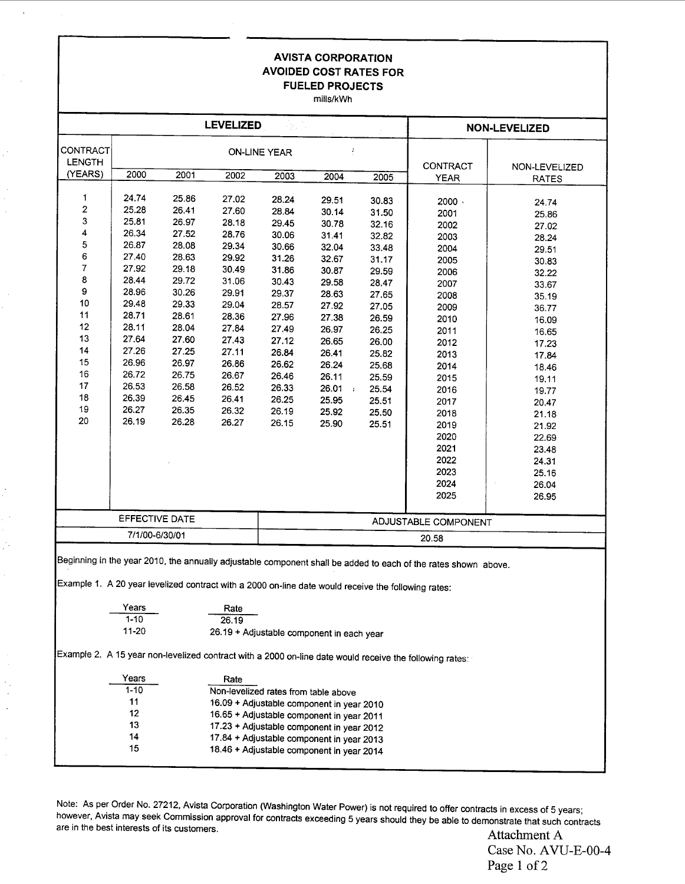# AVISTA CORPORATION AVOIDED COST RATES FOR FUELED PROJECTS

mills/kWh

|                                                                                                     |                |                                                                                        | <b>LEVELIZED</b>                          |                     |                |       |                                                                                                                | <b>NON-LEVELIZED</b> |  |  |
|-----------------------------------------------------------------------------------------------------|----------------|----------------------------------------------------------------------------------------|-------------------------------------------|---------------------|----------------|-------|----------------------------------------------------------------------------------------------------------------|----------------------|--|--|
| CONTRACT                                                                                            |                |                                                                                        |                                           | <b>ON-LINE YEAR</b> | ÷              |       |                                                                                                                |                      |  |  |
| LENGTH                                                                                              |                |                                                                                        |                                           |                     |                |       | CONTRACT                                                                                                       | NON-LEVELIZED        |  |  |
| (YEARS)                                                                                             | 2000           | 2001                                                                                   | 2002                                      | 2003                | 2004           | 2005  | <b>YEAR</b>                                                                                                    | <b>RATES</b>         |  |  |
|                                                                                                     |                |                                                                                        |                                           |                     |                |       |                                                                                                                |                      |  |  |
| 1                                                                                                   | 24.74          | 25.86                                                                                  | 27.02                                     | 28.24               | 29.51          | 30.83 | $2000 -$                                                                                                       | 24.74                |  |  |
| $\boldsymbol{2}$                                                                                    | 25.28          | 26.41                                                                                  | 27.60                                     | 28.84               | 30.14          | 31.50 | 2001                                                                                                           | 25.86                |  |  |
| 3                                                                                                   | 25.81          | 26.97                                                                                  | 28.18                                     | 29.45               | 30.78          | 32.16 | 2002                                                                                                           | 27.02                |  |  |
| 4                                                                                                   | 26.34          | 27.52                                                                                  | 28.76                                     | 30.06               | 31.41          | 32.82 | 2003                                                                                                           | 28.24                |  |  |
| 5                                                                                                   | 26.87          | 28.08                                                                                  | 29.34                                     | 30.66               | 32.04          | 33.48 | 2004                                                                                                           | 29.51                |  |  |
| 6                                                                                                   | 27.40          | 28.63                                                                                  | 29.92                                     | 31.26               | 32.67          | 31.17 | 2005                                                                                                           | 30.83                |  |  |
| 7                                                                                                   | 27.92          | 29.18                                                                                  | 30.49                                     | 31.86               | 30.87          | 29.59 | 2006                                                                                                           | 32.22                |  |  |
| 8                                                                                                   | 28.44          | 29.72                                                                                  | 31.06                                     | 30.43               | 29.58          | 28.47 | 2007                                                                                                           | 33.67                |  |  |
| 9                                                                                                   | 28.96          | 30.26                                                                                  | 29.91                                     | 29.37               | 28.63          | 27.65 | 2008                                                                                                           | 35.19                |  |  |
| 10                                                                                                  | 29.48          | 29.33                                                                                  | 29.04                                     | 28.57               | 27.92          | 27.05 | 2009                                                                                                           | 36.77                |  |  |
| 11                                                                                                  | 28.71          | 28.61                                                                                  | 28.36                                     | 27.96               | 27.38          | 26.59 | 2010                                                                                                           | 16.09                |  |  |
| 12                                                                                                  | 28.11          | 28.04                                                                                  | 27.84                                     | 27.49               | 26.97          | 26.25 | 2011                                                                                                           | 16.65                |  |  |
| 13                                                                                                  | 27.64          | 27.60                                                                                  | 27.43                                     | 27.12               | 26.65          | 26.00 | 2012                                                                                                           | 17.23                |  |  |
| 14                                                                                                  | 27.26          | 27.25                                                                                  | 27.11                                     | 26.84               | 26.41          | 25.82 | 2013                                                                                                           | 17.84                |  |  |
| 15                                                                                                  | 26.96          | 26.97                                                                                  | 26.86                                     | 26.62               | 26.24          | 25.68 | 2014                                                                                                           | 18.46                |  |  |
| 16                                                                                                  | 26.72          | 26.75                                                                                  | 26.67                                     | 26.46               | 26.11          | 25.59 | 2015                                                                                                           | 19.11                |  |  |
| 17                                                                                                  | 26.53          | 26.58                                                                                  | 26.52                                     | 26.33               | 26.01<br>$\pm$ | 25.54 | 2016                                                                                                           | 19.77                |  |  |
| 18                                                                                                  | 26.39          | 26.45                                                                                  | 26.41                                     | 26.25               | 25.95          | 25.51 | 2017                                                                                                           | 20.47                |  |  |
| 19                                                                                                  | 26.27          | 26.35                                                                                  | 26.32                                     | 26.19               | 25.92          | 25.50 | 2018                                                                                                           | 21.18                |  |  |
| 20                                                                                                  | 26.19          | 26.28                                                                                  | 26.27                                     | 26.15               | 25.90          | 25.51 | 2019                                                                                                           | 21.92                |  |  |
|                                                                                                     |                |                                                                                        |                                           |                     |                |       | 2020                                                                                                           | 22.69                |  |  |
|                                                                                                     |                |                                                                                        |                                           |                     |                |       | 2021                                                                                                           | 23.48                |  |  |
|                                                                                                     |                |                                                                                        |                                           |                     |                |       | 2022                                                                                                           | 24.31                |  |  |
|                                                                                                     |                |                                                                                        |                                           |                     |                |       | 2023                                                                                                           | 25.16                |  |  |
|                                                                                                     |                |                                                                                        |                                           |                     |                |       | 2024                                                                                                           | 26.04                |  |  |
|                                                                                                     |                |                                                                                        |                                           |                     |                |       | 2025                                                                                                           | 26.95                |  |  |
|                                                                                                     | EFFECTIVE DATE |                                                                                        |                                           |                     |                |       |                                                                                                                |                      |  |  |
|                                                                                                     |                |                                                                                        |                                           |                     |                |       | ADJUSTABLE COMPONENT                                                                                           |                      |  |  |
|                                                                                                     | 7/1/00-6/30/01 |                                                                                        |                                           |                     |                |       | 20.58                                                                                                          |                      |  |  |
| Example 1. A 20 year levelized contract with a 2000 on-line date would receive the following rates: |                |                                                                                        |                                           |                     |                |       | Beginning in the year 2010, the annually adjustable component shall be added to each of the rates shown above. |                      |  |  |
|                                                                                                     | Years          |                                                                                        | Rate                                      |                     |                |       |                                                                                                                |                      |  |  |
|                                                                                                     | 1-10           |                                                                                        | 26.19                                     |                     |                |       |                                                                                                                |                      |  |  |
|                                                                                                     | 11-20          |                                                                                        | 26.19 + Adjustable component in each year |                     |                |       |                                                                                                                |                      |  |  |
|                                                                                                     |                |                                                                                        |                                           |                     |                |       | Example 2. A 15 year non-levelized contract with a 2000 on-line date would receive the following rates:        |                      |  |  |
|                                                                                                     | Years          |                                                                                        | Rate                                      |                     |                |       |                                                                                                                |                      |  |  |
|                                                                                                     | $1 - 10$       |                                                                                        | Non-levelized rates from table above      |                     |                |       |                                                                                                                |                      |  |  |
|                                                                                                     | 11             |                                                                                        | 16.09 + Adjustable component in year 2010 |                     |                |       |                                                                                                                |                      |  |  |
|                                                                                                     | 12             |                                                                                        | 16.65 + Adjustable component in year 2011 |                     |                |       |                                                                                                                |                      |  |  |
|                                                                                                     | 13             |                                                                                        | 17.23 + Adjustable component in year 2012 |                     |                |       |                                                                                                                |                      |  |  |
|                                                                                                     | 14             |                                                                                        |                                           |                     |                |       |                                                                                                                |                      |  |  |
|                                                                                                     | 15             | 17.84 + Adjustable component in year 2013<br>18.46 + Adjustable component in year 2014 |                                           |                     |                |       |                                                                                                                |                      |  |  |

Note: As per Order No. 27212, Avista Corporation (Washington Water Power) is not required to offer contracts in excess of 5 years; however, Avista may seek Commission approval for contracts exceeding 5 years should they be able to demonstrate that such contracts are in the best interests of its customers.

 $\ddot{\phantom{a}}$ 

Case No. AVU-E-00-4 Page 1 of 2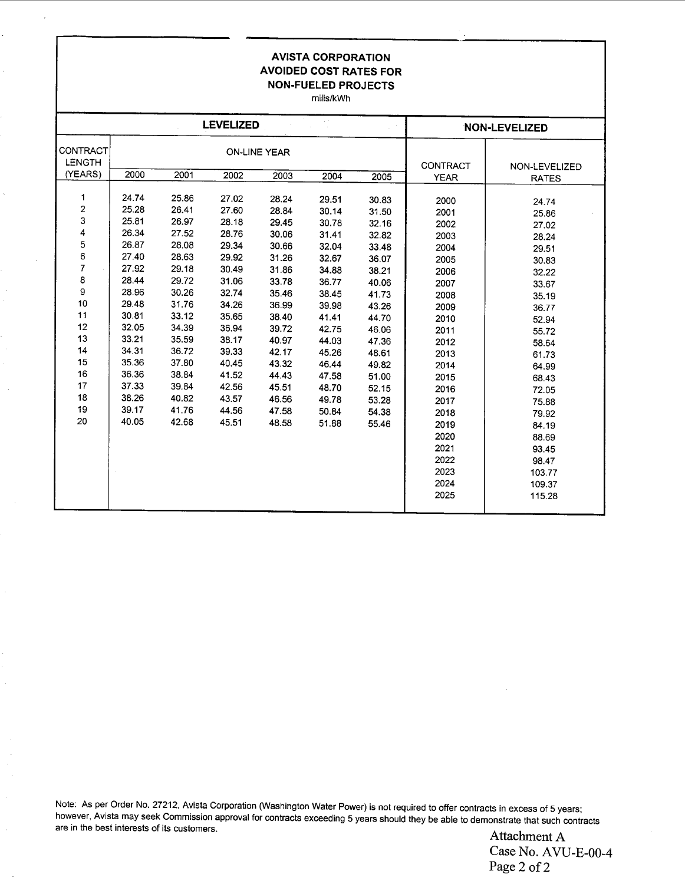#### AVISTA CORPORATION AVOIDED COST RATES FOR NON-FUELED PROJECTS mills/kWh

|                                                          |                                                                                        |                                                                                        | <b>LEVELIZED</b>                                                                       |                                                                                        | <b>NON-LEVELIZED</b>                                                                   |                                                                                        |                                                                                                                              |                                                                                                                                                          |
|----------------------------------------------------------|----------------------------------------------------------------------------------------|----------------------------------------------------------------------------------------|----------------------------------------------------------------------------------------|----------------------------------------------------------------------------------------|----------------------------------------------------------------------------------------|----------------------------------------------------------------------------------------|------------------------------------------------------------------------------------------------------------------------------|----------------------------------------------------------------------------------------------------------------------------------------------------------|
| <b>CONTRACT</b><br><b>LENGTH</b>                         |                                                                                        |                                                                                        |                                                                                        | <b>ON-LINE YEAR</b>                                                                    |                                                                                        |                                                                                        | <b>CONTRACT</b>                                                                                                              | NON-LEVELIZED                                                                                                                                            |
| (YEARS)                                                  | 2000                                                                                   | 2001                                                                                   | 2002                                                                                   | 2003                                                                                   | 2004                                                                                   | 2005                                                                                   | <b>YEAR</b>                                                                                                                  | <b>RATES</b>                                                                                                                                             |
| 1<br>2<br>3<br>4<br>5<br>6<br>$\overline{7}$<br>8        | 24.74<br>25.28<br>25.81<br>26.34<br>26.87<br>27.40<br>27.92<br>28.44                   | 25.86<br>26.41<br>26.97<br>27.52<br>28.08<br>28.63<br>29.18<br>29.72                   | 27.02<br>27.60<br>28.18<br>28.76<br>29.34<br>29.92<br>30.49<br>31.06                   | 28.24<br>28.84<br>29.45<br>30.06<br>30.66<br>31.26<br>31.86<br>33.78                   | 29.51<br>30.14<br>30.78<br>31.41<br>32.04<br>32.67<br>34.88<br>36.77                   | 30.83<br>31.50<br>32.16<br>32.82<br>33.48<br>36.07<br>38.21<br>40.06                   | 2000<br>2001<br>2002<br>2003<br>2004<br>2005<br>2006<br>2007                                                                 | 24.74<br>25.86<br>27.02<br>28.24<br>29.51<br>30.83<br>32.22<br>33.67                                                                                     |
| 9<br>10                                                  | 28.96<br>29.48                                                                         | 30.26<br>31.76                                                                         | 32.74<br>34.26                                                                         | 35.46<br>36.99                                                                         | 38.45<br>39.98                                                                         | 41.73<br>43.26                                                                         | 2008<br>2009                                                                                                                 | 35.19                                                                                                                                                    |
| 11<br>12<br>13<br>14<br>15<br>16<br>17<br>18<br>19<br>20 | 30.81<br>32.05<br>33.21<br>34.31<br>35.36<br>36.36<br>37.33<br>38.26<br>39.17<br>40.05 | 33.12<br>34.39<br>35.59<br>36.72<br>37.80<br>38.84<br>39.84<br>40.82<br>41.76<br>42.68 | 35.65<br>36.94<br>38.17<br>39.33<br>40.45<br>41.52<br>42.56<br>43.57<br>44.56<br>45.51 | 38.40<br>39.72<br>40.97<br>42.17<br>43.32<br>44.43<br>45.51<br>46.56<br>47.58<br>48.58 | 41.41<br>42.75<br>44.03<br>45.26<br>46.44<br>47.58<br>48.70<br>49.78<br>50.84<br>51.88 | 44.70<br>46.06<br>47.36<br>48.61<br>49.82<br>51.00<br>52.15<br>53.28<br>54.38<br>55.46 | 2010<br>2011<br>2012<br>2013<br>2014<br>2015<br>2016<br>2017<br>2018<br>2019<br>2020<br>2021<br>2022<br>2023<br>2024<br>2025 | 36.77<br>52.94<br>55.72<br>58.64<br>61.73<br>64.99<br>68.43<br>72.05<br>75.88<br>79.92<br>84.19<br>88.69<br>93.45<br>98.47<br>103.77<br>109.37<br>115.28 |

Note: As per Order No. 27212, Avista Corporation (Washington Water Power) is not required to offer contracts in excess of 5 years; however, Avista may seek Commission approval for contracts exceeding 5 years should they be able to demonstrate that such contracts are in the best interests of its customers.<br>Attachment A

Case No. AVU-E-00-4 Page 2 of 2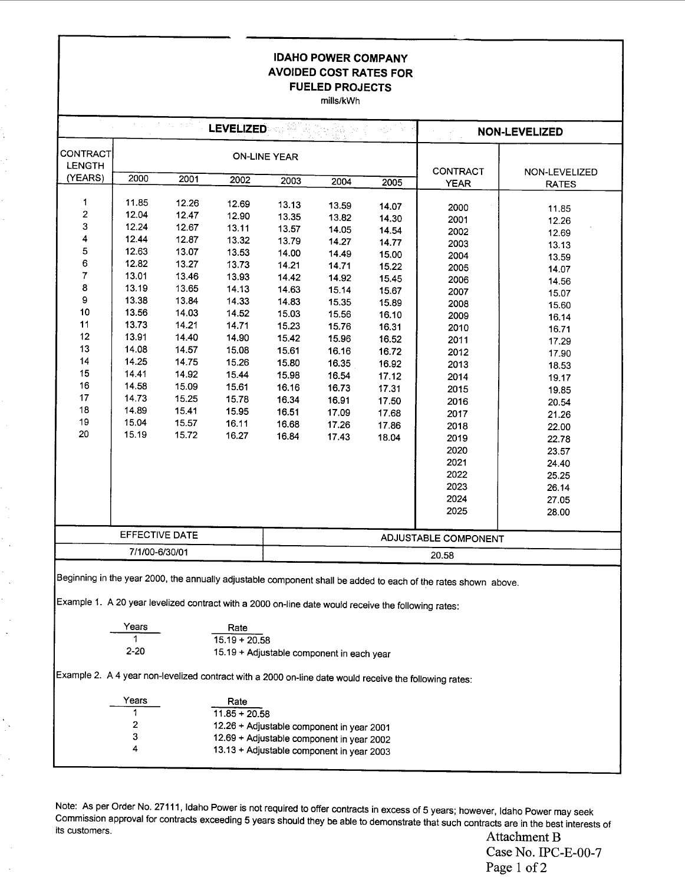# IDAHO POWER COMPANY AVOIDED COST RATES FOR FUELED PROJECTS

|                                                                                                                                                                                                                       | <b>LEVELIZED</b>                               |       |                                           |       |       |       |                      | <b>NON-LEVELIZED</b> |  |  |
|-----------------------------------------------------------------------------------------------------------------------------------------------------------------------------------------------------------------------|------------------------------------------------|-------|-------------------------------------------|-------|-------|-------|----------------------|----------------------|--|--|
| <b>CONTRACT</b><br>LENGTH                                                                                                                                                                                             | <b>ON-LINE YEAR</b>                            |       |                                           |       |       |       |                      |                      |  |  |
| (YEARS)                                                                                                                                                                                                               | 2000                                           | 2001  | 2002                                      | 2003  | 2004  | 2005  | <b>CONTRACT</b>      | NON-LEVELIZED        |  |  |
|                                                                                                                                                                                                                       |                                                |       |                                           |       |       |       | <b>YEAR</b>          | <b>RATES</b>         |  |  |
| 1                                                                                                                                                                                                                     | 11.85                                          | 12.26 | 12.69                                     | 13.13 | 13.59 | 14.07 | 2000                 |                      |  |  |
| $\overline{\mathbf{c}}$                                                                                                                                                                                               | 12.04                                          | 12.47 | 12.90                                     | 13.35 | 13.82 | 14.30 | 2001                 | 11.85                |  |  |
| 3                                                                                                                                                                                                                     | 12.24                                          | 12.67 | 13.11                                     | 13.57 | 14.05 | 14.54 | 2002                 | 12.26                |  |  |
| 4                                                                                                                                                                                                                     | 12.44                                          | 12.87 | 13.32                                     | 13.79 | 14.27 | 14.77 | 2003                 | 12.69<br>13.13       |  |  |
| 5                                                                                                                                                                                                                     | 12.63                                          | 13.07 | 13.53                                     | 14.00 | 14.49 | 15.00 | 2004                 | 13.59                |  |  |
| 6                                                                                                                                                                                                                     | 12.82                                          | 13.27 | 13.73                                     | 14.21 | 14.71 | 15.22 | 2005                 | 14.07                |  |  |
| $\overline{7}$                                                                                                                                                                                                        | 13.01                                          | 13.46 | 13.93                                     | 14.42 | 14.92 | 15.45 | 2006                 | 14.56                |  |  |
| 8                                                                                                                                                                                                                     | 13.19                                          | 13.65 | 14.13                                     | 14.63 | 15.14 | 15.67 | 2007                 | 15.07                |  |  |
| 9                                                                                                                                                                                                                     | 13.38                                          | 13.84 | 14.33                                     | 14.83 | 15.35 | 15.89 | 2008                 | 15.60                |  |  |
| 10                                                                                                                                                                                                                    | 13.56                                          | 14.03 | 14.52                                     | 15.03 | 15.56 | 16.10 | 2009                 | 16.14                |  |  |
| 11                                                                                                                                                                                                                    | 13.73                                          | 14.21 | 14.71                                     | 15.23 | 15.76 | 16.31 | 2010                 | 16.71                |  |  |
| 12                                                                                                                                                                                                                    | 13.91                                          | 14.40 | 14.90                                     | 15.42 | 15.96 | 16.52 | 2011                 | 17.29                |  |  |
| 13                                                                                                                                                                                                                    | 14.08                                          | 14.57 | 15.08                                     | 15.61 | 16.16 | 16.72 | 2012                 | 17.90                |  |  |
| 14                                                                                                                                                                                                                    | 14.25                                          | 14.75 | 15.26                                     | 15.80 | 16.35 | 16.92 | 2013                 | 18.53                |  |  |
| 15                                                                                                                                                                                                                    | 14.41                                          | 14.92 | 15.44                                     | 15.98 | 16.54 | 17.12 | 2014                 | 19.17                |  |  |
| 16                                                                                                                                                                                                                    | 14.58                                          | 15.09 | 15.61                                     | 16.16 | 16.73 | 17.31 | 2015                 | 19.85                |  |  |
| 17                                                                                                                                                                                                                    | 14.73                                          | 15.25 | 15.78                                     | 16.34 | 16.91 | 17.50 | 2016                 | 20.54                |  |  |
| 18                                                                                                                                                                                                                    | 14.89                                          | 15.41 | 15.95                                     | 16.51 | 17.09 | 17.68 | 2017                 | 21.26                |  |  |
| 19                                                                                                                                                                                                                    | 15.04                                          | 15.57 | 16.11                                     | 16.68 | 17.26 | 17.86 | 2018                 | 22.00                |  |  |
| 20                                                                                                                                                                                                                    | 15.19                                          | 15.72 | 16.27                                     | 16.84 | 17.43 | 18.04 | 2019                 | 22.78                |  |  |
|                                                                                                                                                                                                                       |                                                |       |                                           |       |       |       | 2020                 | 23.57                |  |  |
|                                                                                                                                                                                                                       |                                                |       |                                           |       |       |       | 2021                 | 24.40                |  |  |
|                                                                                                                                                                                                                       |                                                |       |                                           |       |       |       | 2022                 | 25.25                |  |  |
|                                                                                                                                                                                                                       |                                                |       |                                           |       |       |       | 2023                 | 26.14                |  |  |
|                                                                                                                                                                                                                       |                                                |       |                                           |       |       |       | 2024                 | 27.05                |  |  |
|                                                                                                                                                                                                                       |                                                |       |                                           |       |       |       | 2025                 | 28.00                |  |  |
|                                                                                                                                                                                                                       |                                                |       |                                           |       |       |       |                      |                      |  |  |
|                                                                                                                                                                                                                       | EFFECTIVE DATE                                 |       |                                           |       |       |       | ADJUSTABLE COMPONENT |                      |  |  |
|                                                                                                                                                                                                                       | 7/1/00-6/30/01                                 |       |                                           | 20.58 |       |       |                      |                      |  |  |
| Beginning in the year 2000, the annually adjustable component shall be added to each of the rates shown above.<br>Example 1. A 20 year levelized contract with a 2000 on-line date would receive the following rates: |                                                |       |                                           |       |       |       |                      |                      |  |  |
|                                                                                                                                                                                                                       | Years                                          |       | Rate                                      |       |       |       |                      |                      |  |  |
|                                                                                                                                                                                                                       | 1                                              |       | $15.19 + 20.58$                           |       |       |       |                      |                      |  |  |
|                                                                                                                                                                                                                       | $2 - 20$                                       |       | 15.19 + Adjustable component in each year |       |       |       |                      |                      |  |  |
| Example 2. A 4 year non-levelized contract with a 2000 on-line date would receive the following rates:                                                                                                                |                                                |       |                                           |       |       |       |                      |                      |  |  |
|                                                                                                                                                                                                                       | Years<br>Rate                                  |       |                                           |       |       |       |                      |                      |  |  |
|                                                                                                                                                                                                                       | $11.85 + 20.58$                                |       |                                           |       |       |       |                      |                      |  |  |
|                                                                                                                                                                                                                       | 2                                              |       | 12.26 + Adjustable component in year 2001 |       |       |       |                      |                      |  |  |
|                                                                                                                                                                                                                       | 3                                              |       | 12.69 + Adjustable component in year 2002 |       |       |       |                      |                      |  |  |
|                                                                                                                                                                                                                       | 4<br>13.13 + Adjustable component in year 2003 |       |                                           |       |       |       |                      |                      |  |  |

Note: As per Order No. 27111 , Idaho Power is not required to offer contracts in excess of 5 years; however, Idaho Power may seek Commission approval for contracts exceeding 5 years should they be able to demonstrate that such contracts are in the best interests of its customers. Attachment B

Case No. IPC-E-00-7 Page 1 of 2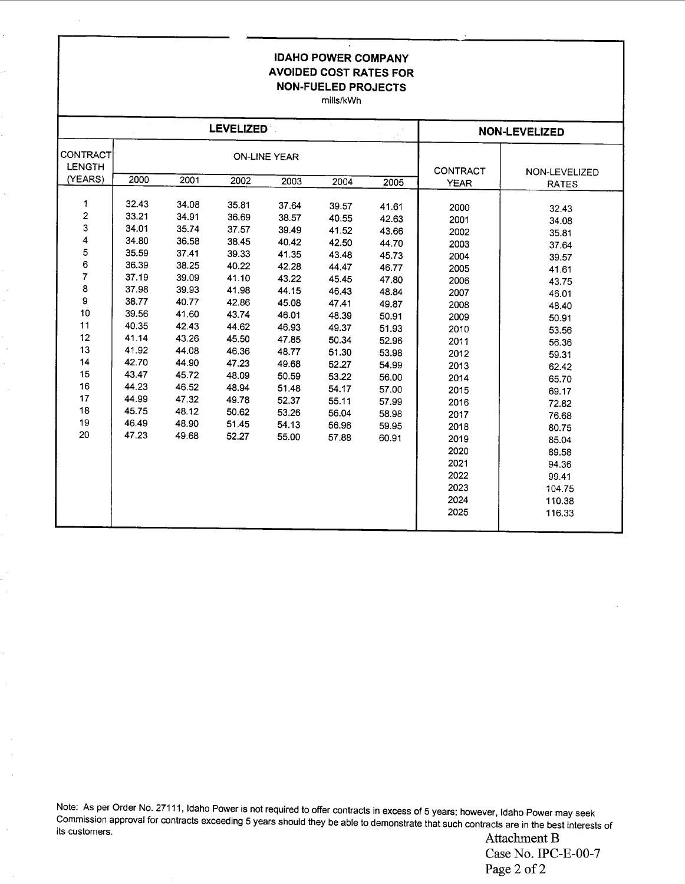## IDAHO POWER COMPANY AVOIDED COST RATES FOR NON.FUELED PROJECTS

mills/kWh

|                    | <b>LEVELIZED</b> |       |       |                     |       |       |                 | <b>NON-LEVELIZED</b> |
|--------------------|------------------|-------|-------|---------------------|-------|-------|-----------------|----------------------|
| CONTRACT<br>LENGTH |                  |       |       | <b>ON-LINE YEAR</b> |       |       | <b>CONTRACT</b> | NON-LEVELIZED        |
| (YEARS)            | 2000             | 2001  | 2002  | 2003                | 2004  | 2005  | <b>YEAR</b>     | <b>RATES</b>         |
|                    |                  |       |       |                     |       |       |                 |                      |
| 1                  | 32.43            | 34.08 | 35.81 | 37.64               | 39.57 | 41.61 | 2000            | 32.43                |
| 2<br>3             | 33.21            | 34.91 | 36.69 | 38.57               | 40.55 | 42.63 | 2001            | 34.08                |
|                    | 34.01            | 35.74 | 37.57 | 39.49               | 41.52 | 43.66 | 2002            | 35.81                |
| 4                  | 34.80            | 36.58 | 38.45 | 40.42               | 42.50 | 44.70 | 2003            | 37.64                |
| 5                  | 35.59            | 37.41 | 39.33 | 41.35               | 43.48 | 45.73 | 2004            | 39.57                |
| 6                  | 36.39            | 38.25 | 40.22 | 42.28               | 44.47 | 46.77 | 2005            | 41.61                |
| $\overline{7}$     | 37.19            | 39.09 | 41.10 | 43.22               | 45.45 | 47.80 | 2006            | 43.75                |
| 8                  | 37.98            | 39.93 | 41.98 | 44.15               | 46.43 | 48.84 | 2007            | 46.01                |
| 9                  | 38.77            | 40.77 | 42.86 | 45.08               | 47.41 | 49.87 | 2008            | 48.40                |
| 10                 | 39.56            | 41.60 | 43.74 | 46.01               | 48.39 | 50.91 | 2009            | 50.91                |
| 11                 | 40.35            | 42.43 | 44.62 | 46.93               | 49.37 | 51.93 | 2010            | 53.56                |
| 12                 | 41.14            | 43.26 | 45.50 | 47.85               | 50.34 | 52.96 | 2011            | 56.36                |
| 13                 | 41.92            | 44.08 | 46.36 | 48.77               | 51.30 | 53.98 | 2012            | 59.31                |
| 14                 | 42.70            | 44.90 | 47.23 | 49.68               | 52.27 | 54.99 | 2013            | 62.42                |
| 15                 | 43.47            | 45.72 | 48.09 | 50.59               | 53.22 | 56.00 | 2014            | 65.70                |
| 16                 | 44.23            | 46.52 | 48.94 | 51.48               | 54.17 | 57.00 | 2015            | 69.17                |
| 17                 | 44.99            | 47.32 | 49.78 | 52.37               | 55.11 | 57.99 | 2016            | 72.82                |
| 18                 | 45.75            | 48.12 | 50.62 | 53.26               | 56.04 | 58.98 | 2017            | 76.68                |
| 19                 | 46.49            | 48.90 | 51.45 | 54.13               | 56.96 | 59.95 | 2018            | 80.75                |
| 20                 | 47.23            | 49.68 | 52.27 | 55.00               | 57.88 | 60.91 | 2019            | 85.04                |
|                    |                  |       |       |                     |       |       | 2020            | 89.58                |
|                    |                  |       |       |                     |       |       | 2021            | 94.36                |
|                    |                  |       |       |                     |       |       | 2022            | 99.41                |
|                    |                  |       |       |                     |       |       | 2023            |                      |
|                    |                  |       |       |                     |       |       | 2024            | 104.75               |
|                    |                  |       |       |                     |       |       |                 | 110.38               |
|                    |                  |       |       |                     |       |       | 2025            | 116.33               |
|                    |                  |       |       |                     |       |       |                 |                      |

Note: As per Order No. 27111, Idaho Power is not required to offer contracts in excess of 5 years; however, Idaho Power may seek Commission approval for contracts exceeding 5 years should they be able to demonstrate that such contracts are in the best interests of its customers. Attachment B

Case No. IPC-E-00-7 Page 2 of 2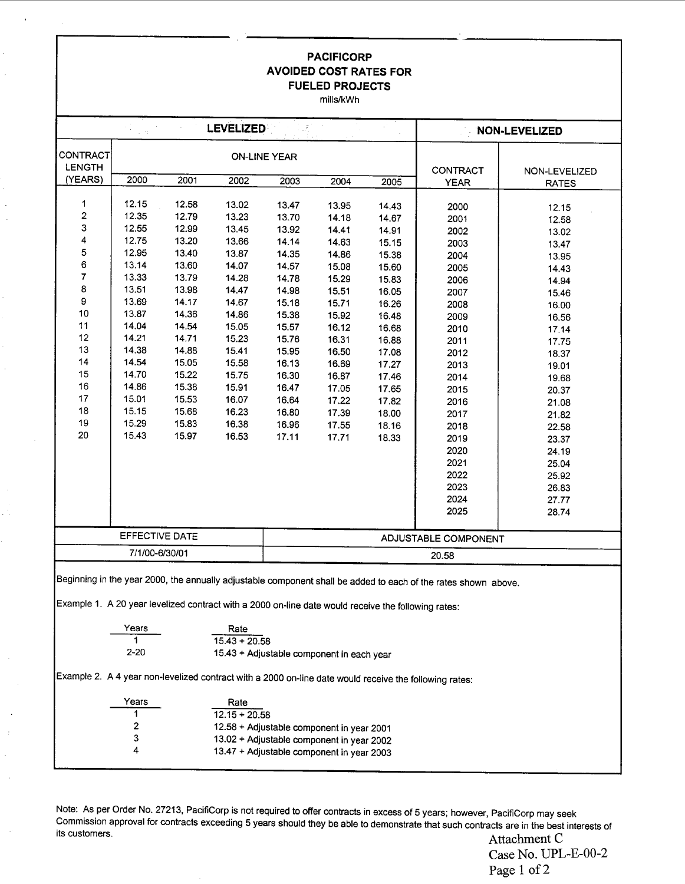#### PACIFICORP AVOIDED COST RATES FOR FUELED PROJECTS mills/kWh

|                                                                                                     |                                                                                             |       | <b>LEVELIZED</b>    | <b>NON-LEVELIZED</b> |                                           |       |                                                                                                                |              |  |
|-----------------------------------------------------------------------------------------------------|---------------------------------------------------------------------------------------------|-------|---------------------|----------------------|-------------------------------------------|-------|----------------------------------------------------------------------------------------------------------------|--------------|--|
| CONTRACT<br><b>LENGTH</b>                                                                           |                                                                                             |       | <b>ON-LINE YEAR</b> | CONTRACT             | NON-LEVELIZED                             |       |                                                                                                                |              |  |
| (YEARS)                                                                                             | 2000                                                                                        | 2001  | 2002                | 2003                 | 2004                                      | 2005  | <b>YEAR</b>                                                                                                    | <b>RATES</b> |  |
|                                                                                                     |                                                                                             |       |                     |                      |                                           |       |                                                                                                                |              |  |
| 1                                                                                                   | 12.15                                                                                       | 12.58 | 13.02               | 13.47                | 13.95                                     | 14.43 | 2000                                                                                                           | 12.15        |  |
| 2                                                                                                   | 12.35                                                                                       | 12.79 | 13.23               | 13.70                | 14.18                                     | 14.67 | 2001                                                                                                           | 12.58        |  |
| 3                                                                                                   | 12.55                                                                                       | 12.99 | 13.45               | 13.92                | 14.41                                     | 14.91 | 2002                                                                                                           | 13.02        |  |
| 4                                                                                                   | 12.75                                                                                       | 13.20 | 13.66               | 14.14                | 14.63                                     | 15.15 | 2003                                                                                                           | 13.47        |  |
| 5                                                                                                   | 12.95                                                                                       | 13.40 | 13.87               | 14.35                | 14.86                                     | 15.38 | 2004                                                                                                           | 13.95        |  |
| 6                                                                                                   | 13.14                                                                                       | 13.60 | 14.07               | 14.57                | 15.08                                     | 15.60 | 2005                                                                                                           | 14.43        |  |
| 7                                                                                                   | 13.33                                                                                       | 13.79 | 14.28               | 14.78                | 15.29                                     | 15.83 | 2006                                                                                                           | 14.94        |  |
| 8                                                                                                   | 13.51                                                                                       | 13.98 | 14.47               | 14.98                | 15.51                                     | 16.05 | 2007                                                                                                           | 15.46        |  |
| 9                                                                                                   | 13.69                                                                                       | 14.17 | 14.67               | 15.18                | 15.71                                     | 16.26 | 2008                                                                                                           | 16.00        |  |
| 10                                                                                                  | 13.87                                                                                       | 14.36 | 14.86               | 15.38                | 15.92                                     | 16.48 | 2009                                                                                                           | 16.56        |  |
| 11                                                                                                  | 14.04                                                                                       | 14.54 | 15.05               | 15.57                | 16.12                                     | 16.68 | 2010                                                                                                           | 17.14        |  |
| 12                                                                                                  | 14.21                                                                                       | 14.71 | 15.23               | 15.76                | 16.31                                     | 16.88 | 2011                                                                                                           | 17.75        |  |
| 13                                                                                                  | 14.38                                                                                       | 14.88 | 15.41               | 15.95                | 16.50                                     | 17.08 | 2012                                                                                                           | 18.37        |  |
| 14                                                                                                  | 14.54                                                                                       | 15.05 | 15.58               | 16.13                | 16.69                                     | 17.27 | 2013                                                                                                           | 19.01        |  |
| 15                                                                                                  | 14.70                                                                                       | 15.22 | 15.75               | 16.30                | 16.87                                     | 17.46 | 2014                                                                                                           | 19.68        |  |
| 16                                                                                                  | 14.86                                                                                       | 15.38 | 15.91               | 16.47                | 17.05                                     | 17.65 | 2015                                                                                                           | 20.37        |  |
| 17                                                                                                  | 15.01                                                                                       | 15.53 | 16.07               | 16.64                | 17.22                                     | 17.82 | 2016                                                                                                           | 21.08        |  |
| 18                                                                                                  | 15.15                                                                                       | 15.68 | 16.23               | 16.80                | 17.39                                     | 18.00 | 2017                                                                                                           | 21.82        |  |
| 19                                                                                                  | 15.29                                                                                       | 15.83 | 16.38               | 16.96                | 17.55                                     | 18.16 | 2018                                                                                                           | 22.58        |  |
| 20                                                                                                  | 15.43                                                                                       | 15.97 | 16.53               | 17.11                | 17.71                                     | 18.33 | 2019                                                                                                           | 23.37        |  |
|                                                                                                     |                                                                                             |       |                     |                      |                                           |       | 2020                                                                                                           | 24.19        |  |
|                                                                                                     |                                                                                             |       |                     |                      |                                           |       | 2021                                                                                                           | 25.04        |  |
|                                                                                                     |                                                                                             |       |                     |                      |                                           |       | 2022                                                                                                           | 25.92        |  |
|                                                                                                     |                                                                                             |       |                     |                      |                                           |       | 2023                                                                                                           | 26.83        |  |
|                                                                                                     |                                                                                             |       |                     |                      |                                           |       | 2024                                                                                                           | 27.77        |  |
|                                                                                                     |                                                                                             |       |                     |                      |                                           |       | 2025                                                                                                           | 28.74        |  |
|                                                                                                     | EFFECTIVE DATE                                                                              |       |                     |                      |                                           |       | ADJUSTABLE COMPONENT                                                                                           |              |  |
|                                                                                                     | 7/1/00-6/30/01                                                                              |       |                     | 20.58                |                                           |       |                                                                                                                |              |  |
| Example 1. A 20 year levelized contract with a 2000 on-line date would receive the following rates: |                                                                                             |       |                     |                      |                                           |       | Beginning in the year 2000, the annually adjustable component shall be added to each of the rates shown above. |              |  |
|                                                                                                     | Years                                                                                       |       | Rate                |                      |                                           |       |                                                                                                                |              |  |
|                                                                                                     |                                                                                             |       | $15.43 + 20.58$     |                      |                                           |       |                                                                                                                |              |  |
|                                                                                                     | $2 - 20$                                                                                    |       |                     |                      | 15.43 + Adjustable component in each year |       |                                                                                                                |              |  |
|                                                                                                     |                                                                                             |       |                     |                      |                                           |       | Example 2. A 4 year non-levelized contract with a 2000 on-line date would receive the following rates:         |              |  |
|                                                                                                     | Years                                                                                       |       | Rate                |                      |                                           |       |                                                                                                                |              |  |
|                                                                                                     | 1                                                                                           |       | $12.15 + 20.58$     |                      |                                           |       |                                                                                                                |              |  |
|                                                                                                     | 2                                                                                           |       |                     |                      | 12.58 + Adjustable component in year 2001 |       |                                                                                                                |              |  |
|                                                                                                     | 3                                                                                           |       |                     |                      |                                           |       |                                                                                                                |              |  |
|                                                                                                     | 13.02 + Adjustable component in year 2002<br>4<br>13.47 + Adjustable component in year 2003 |       |                     |                      |                                           |       |                                                                                                                |              |  |

Note: As per Order No. 27213, PacifiCorp is not required to offer contracts in excess of 5 years; however, PacifiCorp may seek Commission approval for contracts exceeding 5 years should they be able to demonstrate that such contracts are in the best interests of its customers.<br>Attachment C

Case No. UPL-E-00-2 Page 1 of 2